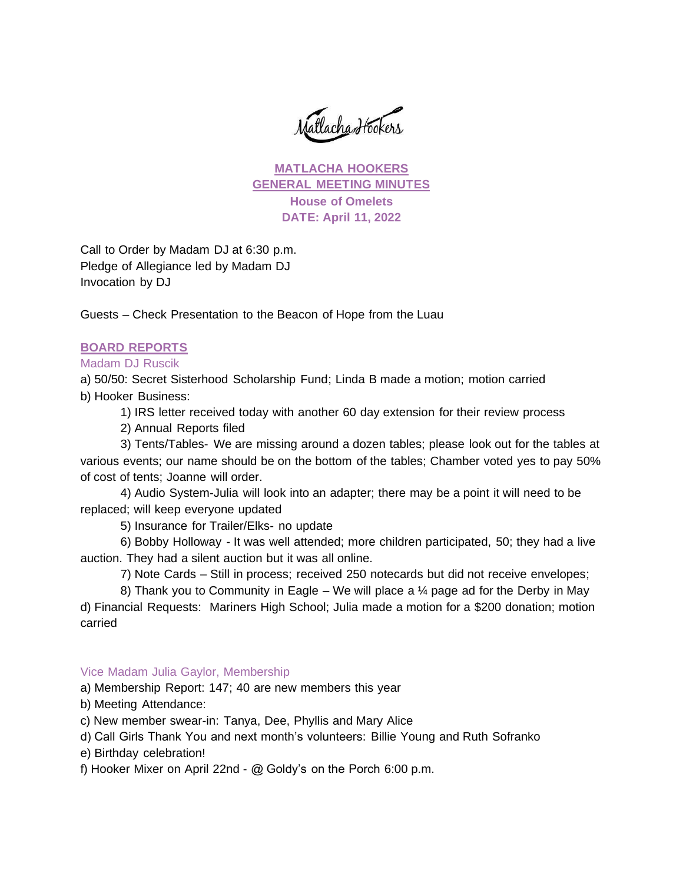Matlacha Hookers

**MATLACHA HOOKERS GENERAL MEETING MINUTES House of Omelets DATE: April 11, 2022**

Call to Order by Madam DJ at 6:30 p.m. Pledge of Allegiance led by Madam DJ Invocation by DJ

Guests – Check Presentation to the Beacon of Hope from the Luau

#### **BOARD REPORTS**

#### Madam DJ Ruscik

a) 50/50: Secret Sisterhood Scholarship Fund; Linda B made a motion; motion carried b) Hooker Business:

1) IRS letter received today with another 60 day extension for their review process

2) Annual Reports filed

3) Tents/Tables- We are missing around a dozen tables; please look out for the tables at various events; our name should be on the bottom of the tables; Chamber voted yes to pay 50% of cost of tents; Joanne will order.

4) Audio System-Julia will look into an adapter; there may be a point it will need to be replaced; will keep everyone updated

5) Insurance for Trailer/Elks- no update

6) Bobby Holloway - It was well attended; more children participated, 50; they had a live auction. They had a silent auction but it was all online.

7) Note Cards – Still in process; received 250 notecards but did not receive envelopes;

8) Thank you to Community in Eagle – We will place a  $\frac{1}{4}$  page ad for the Derby in May d) Financial Requests: Mariners High School; Julia made a motion for a \$200 donation; motion carried

#### Vice Madam Julia Gaylor, Membership

a) Membership Report: 147; 40 are new members this year

b) Meeting Attendance:

c) New member swear-in: Tanya, Dee, Phyllis and Mary Alice

d) Call Girls Thank You and next month's volunteers: Billie Young and Ruth Sofranko

e) Birthday celebration!

f) Hooker Mixer on April 22nd - @ Goldy's on the Porch 6:00 p.m.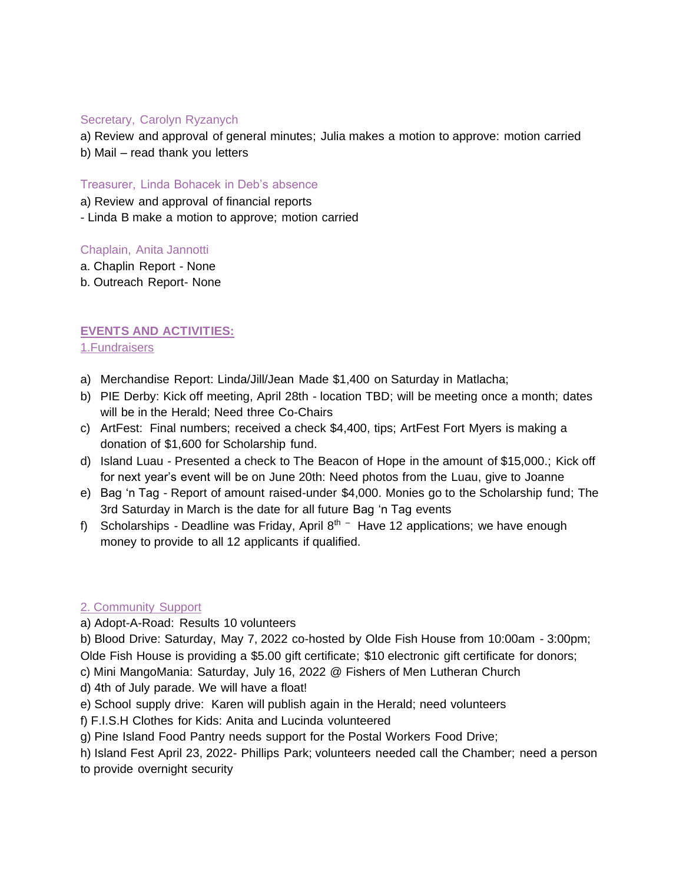## Secretary, Carolyn Ryzanych

a) Review and approval of general minutes; Julia makes a motion to approve: motion carried b) Mail – read thank you letters

Treasurer, Linda Bohacek in Deb's absence

a) Review and approval of financial reports

- Linda B make a motion to approve; motion carried

## Chaplain, Anita Jannotti

- a. Chaplin Report None
- b. Outreach Report- None

# **EVENTS AND ACTIVITIES:**

## 1.Fundraisers

- a) Merchandise Report: Linda/Jill/Jean Made \$1,400 on Saturday in Matlacha;
- b) PIE Derby: Kick off meeting, April 28th location TBD; will be meeting once a month; dates will be in the Herald; Need three Co-Chairs
- c) ArtFest: Final numbers; received a check \$4,400, tips; ArtFest Fort Myers is making a donation of \$1,600 for Scholarship fund.
- d) Island Luau Presented a check to The Beacon of Hope in the amount of \$15,000.; Kick off for next year's event will be on June 20th: Need photos from the Luau, give to Joanne
- e) Bag 'n Tag Report of amount raised-under \$4,000. Monies go to the Scholarship fund; The 3rd Saturday in March is the date for all future Bag 'n Tag events
- f) Scholarships Deadline was Friday, April  $8<sup>th</sup>$  Have 12 applications; we have enough money to provide to all 12 applicants if qualified.

## 2. Community Support

a) Adopt-A-Road: Results 10 volunteers

b) Blood Drive: Saturday, May 7, 2022 co-hosted by Olde Fish House from 10:00am - 3:00pm; Olde Fish House is providing a \$5.00 gift certificate; \$10 electronic gift certificate for donors;

c) Mini MangoMania: Saturday, July 16, 2022 @ Fishers of Men Lutheran Church

d) 4th of July parade. We will have a float!

- e) School supply drive: Karen will publish again in the Herald; need volunteers
- f) F.I.S.H Clothes for Kids: Anita and Lucinda volunteered
- g) Pine Island Food Pantry needs support for the Postal Workers Food Drive;
- h) Island Fest April 23, 2022- Phillips Park; volunteers needed call the Chamber; need a person

to provide overnight security